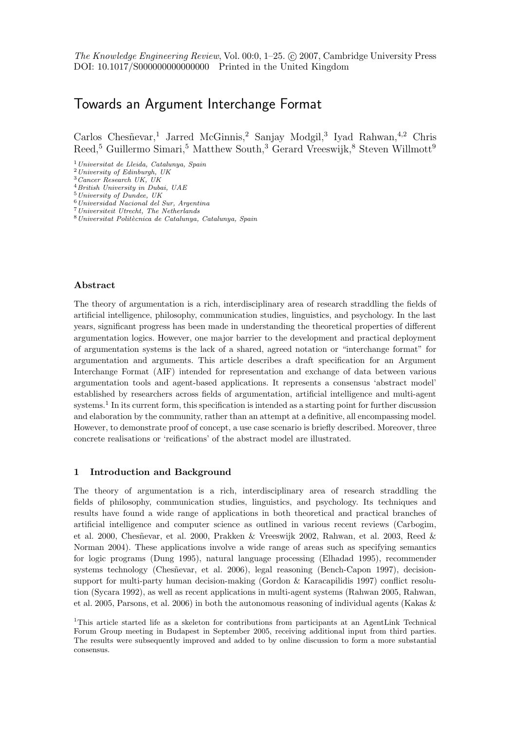# Towards an Argument Interchange Format

Carlos Chesñevar,<sup>1</sup> Jarred McGinnis,<sup>2</sup> Sanjay Modgil,<sup>3</sup> Iyad Rahwan,<sup>4,2</sup> Chris Reed,<sup>5</sup> Guillermo Simari,<sup>5</sup> Matthew South,<sup>3</sup> Gerard Vreeswijk,<sup>8</sup> Steven Willmott<sup>9</sup>

<sup>5</sup>University of Dundee, UK

<sup>7</sup>Universiteit Utrecht, The Netherlands

## Abstract

The theory of argumentation is a rich, interdisciplinary area of research straddling the fields of artificial intelligence, philosophy, communication studies, linguistics, and psychology. In the last years, significant progress has been made in understanding the theoretical properties of different argumentation logics. However, one major barrier to the development and practical deployment of argumentation systems is the lack of a shared, agreed notation or "interchange format" for argumentation and arguments. This article describes a draft specification for an Argument Interchange Format (AIF) intended for representation and exchange of data between various argumentation tools and agent-based applications. It represents a consensus 'abstract model' established by researchers across fields of argumentation, artificial intelligence and multi-agent systems.<sup>1</sup> In its current form, this specification is intended as a starting point for further discussion and elaboration by the community, rather than an attempt at a definitive, all encompassing model. However, to demonstrate proof of concept, a use case scenario is briefly described. Moreover, three concrete realisations or 'reifications' of the abstract model are illustrated.

## 1 Introduction and Background

The theory of argumentation is a rich, interdisciplinary area of research straddling the fields of philosophy, communication studies, linguistics, and psychology. Its techniques and results have found a wide range of applications in both theoretical and practical branches of artificial intelligence and computer science as outlined in various recent reviews (Carbogim, et al. 2000, Chesñevar, et al. 2000, Prakken & Vreeswijk 2002, Rahwan, et al. 2003, Reed & Norman 2004). These applications involve a wide range of areas such as specifying semantics for logic programs (Dung 1995), natural language processing (Elhadad 1995), recommender systems technology (Chesñevar, et al. 2006), legal reasoning (Bench-Capon 1997), decisionsupport for multi-party human decision-making (Gordon & Karacapilidis 1997) conflict resolution (Sycara 1992), as well as recent applications in multi-agent systems (Rahwan 2005, Rahwan, et al. 2005, Parsons, et al. 2006) in both the autonomous reasoning of individual agents (Kakas &

<sup>1</sup>Universitat de Lleida, Catalunya, Spain

 $2$ University of Edinburgh, UK

<sup>3</sup>Cancer Research UK, UK  ${}^{4}$ British University in Dubai, UAE

<sup>6</sup>Universidad Nacional del Sur, Argentina

 $8$ Universitat Politècnica de Catalunya, Catalunya, Spain

<sup>&</sup>lt;sup>1</sup>This article started life as a skeleton for contributions from participants at an AgentLink Technical Forum Group meeting in Budapest in September 2005, receiving additional input from third parties. The results were subsequently improved and added to by online discussion to form a more substantial consensus.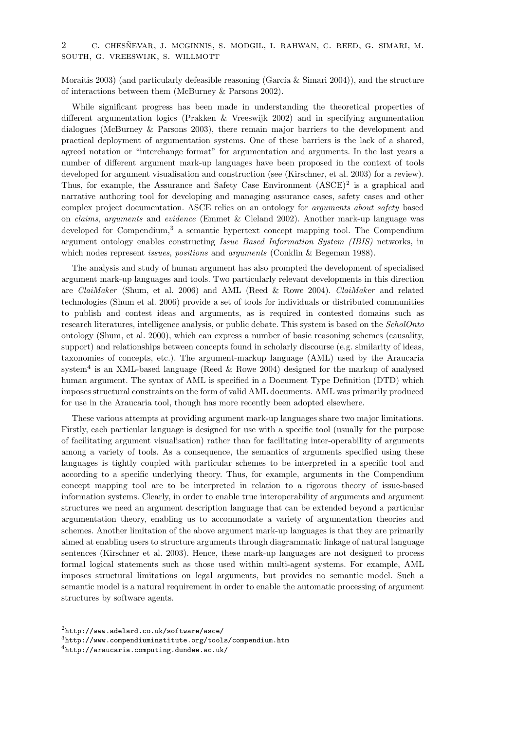Moraitis 2003) (and particularly defeasible reasoning (García & Simari 2004)), and the structure of interactions between them (McBurney & Parsons 2002).

While significant progress has been made in understanding the theoretical properties of different argumentation logics (Prakken & Vreeswijk 2002) and in specifying argumentation dialogues (McBurney & Parsons 2003), there remain major barriers to the development and practical deployment of argumentation systems. One of these barriers is the lack of a shared, agreed notation or "interchange format" for argumentation and arguments. In the last years a number of different argument mark-up languages have been proposed in the context of tools developed for argument visualisation and construction (see (Kirschner, et al. 2003) for a review). Thus, for example, the Assurance and Safety Case Environment  $(ASCE)^2$  is a graphical and narrative authoring tool for developing and managing assurance cases, safety cases and other complex project documentation. ASCE relies on an ontology for arguments about safety based on claims, arguments and evidence (Emmet & Cleland 2002). Another mark-up language was developed for Compendium,<sup>3</sup> a semantic hypertext concept mapping tool. The Compendium argument ontology enables constructing Issue Based Information System (IBIS) networks, in which nodes represent *issues, positions* and *arguments* (Conklin & Begeman 1988).

The analysis and study of human argument has also prompted the development of specialised argument mark-up languages and tools. Two particularly relevant developments in this direction are ClaiMaker (Shum, et al. 2006) and AML (Reed & Rowe 2004). ClaiMaker and related technologies (Shum et al. 2006) provide a set of tools for individuals or distributed communities to publish and contest ideas and arguments, as is required in contested domains such as research literatures, intelligence analysis, or public debate. This system is based on the ScholOnto ontology (Shum, et al. 2000), which can express a number of basic reasoning schemes (causality, support) and relationships between concepts found in scholarly discourse (e.g. similarity of ideas, taxonomies of concepts, etc.). The argument-markup language (AML) used by the Araucaria system<sup>4</sup> is an XML-based language (Reed & Rowe 2004) designed for the markup of analysed human argument. The syntax of AML is specified in a Document Type Definition (DTD) which imposes structural constraints on the form of valid AML documents. AML was primarily produced for use in the Araucaria tool, though has more recently been adopted elsewhere.

These various attempts at providing argument mark-up languages share two major limitations. Firstly, each particular language is designed for use with a specific tool (usually for the purpose of facilitating argument visualisation) rather than for facilitating inter-operability of arguments among a variety of tools. As a consequence, the semantics of arguments specified using these languages is tightly coupled with particular schemes to be interpreted in a specific tool and according to a specific underlying theory. Thus, for example, arguments in the Compendium concept mapping tool are to be interpreted in relation to a rigorous theory of issue-based information systems. Clearly, in order to enable true interoperability of arguments and argument structures we need an argument description language that can be extended beyond a particular argumentation theory, enabling us to accommodate a variety of argumentation theories and schemes. Another limitation of the above argument mark-up languages is that they are primarily aimed at enabling users to structure arguments through diagrammatic linkage of natural language sentences (Kirschner et al. 2003). Hence, these mark-up languages are not designed to process formal logical statements such as those used within multi-agent systems. For example, AML imposes structural limitations on legal arguments, but provides no semantic model. Such a semantic model is a natural requirement in order to enable the automatic processing of argument structures by software agents.

 $^{2}$ http://www.adelard.co.uk/software/asce/

<sup>3</sup> http://www.compendiuminstitute.org/tools/compendium.htm

<sup>4</sup> http://araucaria.computing.dundee.ac.uk/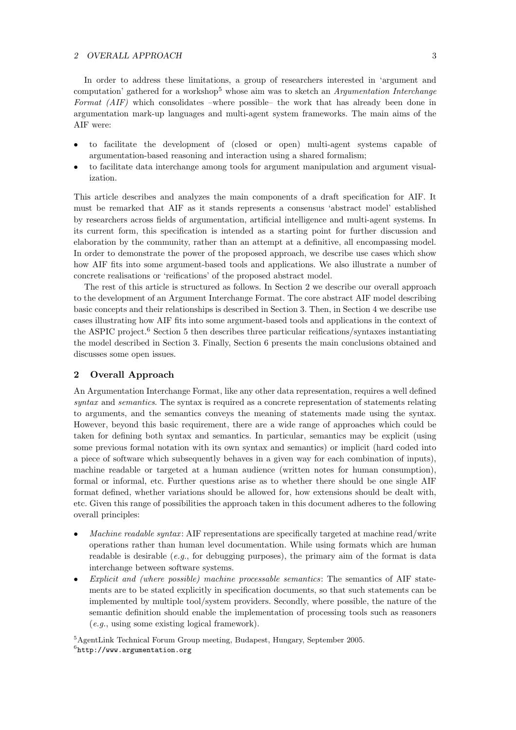#### 2 OVERALL APPROACH 3

In order to address these limitations, a group of researchers interested in 'argument and computation' gathered for a workshop<sup>5</sup> whose aim was to sketch an Argumentation Interchange Format (AIF) which consolidates –where possible– the work that has already been done in argumentation mark-up languages and multi-agent system frameworks. The main aims of the AIF were:

- to facilitate the development of (closed or open) multi-agent systems capable of argumentation-based reasoning and interaction using a shared formalism;
- to facilitate data interchange among tools for argument manipulation and argument visualization.

This article describes and analyzes the main components of a draft specification for AIF. It must be remarked that AIF as it stands represents a consensus 'abstract model' established by researchers across fields of argumentation, artificial intelligence and multi-agent systems. In its current form, this specification is intended as a starting point for further discussion and elaboration by the community, rather than an attempt at a definitive, all encompassing model. In order to demonstrate the power of the proposed approach, we describe use cases which show how AIF fits into some argument-based tools and applications. We also illustrate a number of concrete realisations or 'reifications' of the proposed abstract model.

The rest of this article is structured as follows. In Section 2 we describe our overall approach to the development of an Argument Interchange Format. The core abstract AIF model describing basic concepts and their relationships is described in Section 3. Then, in Section 4 we describe use cases illustrating how AIF fits into some argument-based tools and applications in the context of the ASPIC project.<sup>6</sup> Section 5 then describes three particular reifications/syntaxes instantiating the model described in Section 3. Finally, Section 6 presents the main conclusions obtained and discusses some open issues.

#### 2 Overall Approach

An Argumentation Interchange Format, like any other data representation, requires a well defined syntax and semantics. The syntax is required as a concrete representation of statements relating to arguments, and the semantics conveys the meaning of statements made using the syntax. However, beyond this basic requirement, there are a wide range of approaches which could be taken for defining both syntax and semantics. In particular, semantics may be explicit (using some previous formal notation with its own syntax and semantics) or implicit (hard coded into a piece of software which subsequently behaves in a given way for each combination of inputs), machine readable or targeted at a human audience (written notes for human consumption), formal or informal, etc. Further questions arise as to whether there should be one single AIF format defined, whether variations should be allowed for, how extensions should be dealt with, etc. Given this range of possibilities the approach taken in this document adheres to the following overall principles:

- Machine readable syntax: AIF representations are specifically targeted at machine read/write operations rather than human level documentation. While using formats which are human readable is desirable  $(e.g.,$  for debugging purposes), the primary aim of the format is data interchange between software systems.
- Explicit and (where possible) machine processable semantics: The semantics of AIF statements are to be stated explicitly in specification documents, so that such statements can be implemented by multiple tool/system providers. Secondly, where possible, the nature of the semantic definition should enable the implementation of processing tools such as reasoners (e.g., using some existing logical framework).

<sup>5</sup>AgentLink Technical Forum Group meeting, Budapest, Hungary, September 2005. 6 http://www.argumentation.org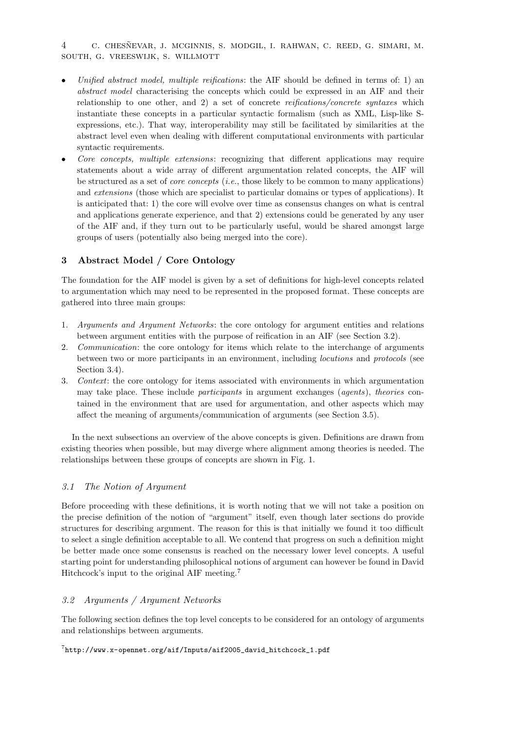- Unified abstract model, multiple reifications: the AIF should be defined in terms of: 1) an abstract model characterising the concepts which could be expressed in an AIF and their relationship to one other, and 2) a set of concrete reifications/concrete syntaxes which instantiate these concepts in a particular syntactic formalism (such as XML, Lisp-like Sexpressions, etc.). That way, interoperability may still be facilitated by similarities at the abstract level even when dealing with different computational environments with particular syntactic requirements.
- Core concepts, multiple extensions: recognizing that different applications may require statements about a wide array of different argumentation related concepts, the AIF will be structured as a set of *core concepts*  $(i.e., those likely to be common to many applications)$ and extensions (those which are specialist to particular domains or types of applications). It is anticipated that: 1) the core will evolve over time as consensus changes on what is central and applications generate experience, and that 2) extensions could be generated by any user of the AIF and, if they turn out to be particularly useful, would be shared amongst large groups of users (potentially also being merged into the core).

# 3 Abstract Model / Core Ontology

The foundation for the AIF model is given by a set of definitions for high-level concepts related to argumentation which may need to be represented in the proposed format. These concepts are gathered into three main groups:

- 1. Arguments and Argument Networks: the core ontology for argument entities and relations between argument entities with the purpose of reification in an AIF (see Section 3.2).
- 2. Communication: the core ontology for items which relate to the interchange of arguments between two or more participants in an environment, including locutions and protocols (see Section 3.4).
- 3. Context: the core ontology for items associated with environments in which argumentation may take place. These include participants in argument exchanges (agents), theories contained in the environment that are used for argumentation, and other aspects which may affect the meaning of arguments/communication of arguments (see Section 3.5).

In the next subsections an overview of the above concepts is given. Definitions are drawn from existing theories when possible, but may diverge where alignment among theories is needed. The relationships between these groups of concepts are shown in Fig. 1.

# 3.1 The Notion of Argument

Before proceeding with these definitions, it is worth noting that we will not take a position on the precise definition of the notion of "argument" itself, even though later sections do provide structures for describing argument. The reason for this is that initially we found it too difficult to select a single definition acceptable to all. We contend that progress on such a definition might be better made once some consensus is reached on the necessary lower level concepts. A useful starting point for understanding philosophical notions of argument can however be found in David Hitchcock's input to the original AIF meeting.<sup>7</sup>

# 3.2 Arguments / Argument Networks

The following section defines the top level concepts to be considered for an ontology of arguments and relationships between arguments.

# $^{7}$ http://www.x-opennet.org/aif/Inputs/aif2005\_david\_hitchcock\_1.pdf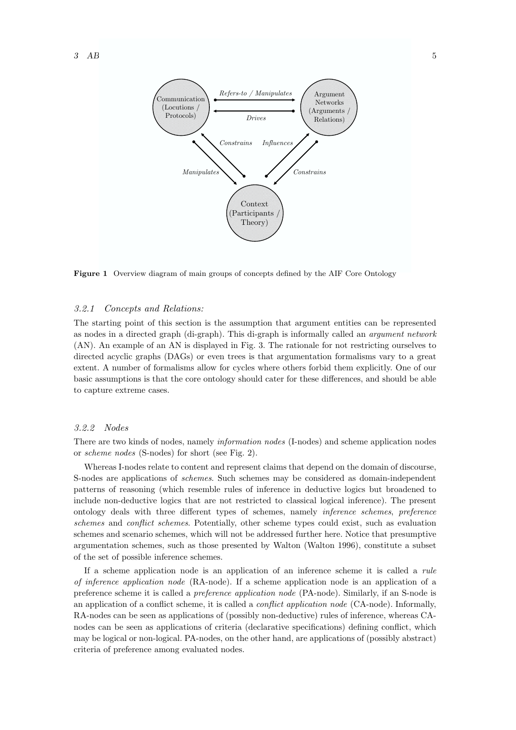

Figure 1 Overview diagram of main groups of concepts defined by the AIF Core Ontology

## 3.2.1 Concepts and Relations:

The starting point of this section is the assumption that argument entities can be represented as nodes in a directed graph (di-graph). This di-graph is informally called an argument network (AN). An example of an AN is displayed in Fig. 3. The rationale for not restricting ourselves to directed acyclic graphs (DAGs) or even trees is that argumentation formalisms vary to a great extent. A number of formalisms allow for cycles where others forbid them explicitly. One of our basic assumptions is that the core ontology should cater for these differences, and should be able to capture extreme cases.

#### 3.2.2 Nodes

There are two kinds of nodes, namely information nodes (I-nodes) and scheme application nodes or scheme nodes (S-nodes) for short (see Fig. 2).

Whereas I-nodes relate to content and represent claims that depend on the domain of discourse, S-nodes are applications of schemes. Such schemes may be considered as domain-independent patterns of reasoning (which resemble rules of inference in deductive logics but broadened to include non-deductive logics that are not restricted to classical logical inference). The present ontology deals with three different types of schemes, namely inference schemes, preference schemes and conflict schemes. Potentially, other scheme types could exist, such as evaluation schemes and scenario schemes, which will not be addressed further here. Notice that presumptive argumentation schemes, such as those presented by Walton (Walton 1996), constitute a subset of the set of possible inference schemes.

If a scheme application node is an application of an inference scheme it is called a rule of inference application node (RA-node). If a scheme application node is an application of a preference scheme it is called a preference application node (PA-node). Similarly, if an S-node is an application of a conflict scheme, it is called a conflict application node (CA-node). Informally, RA-nodes can be seen as applications of (possibly non-deductive) rules of inference, whereas CAnodes can be seen as applications of criteria (declarative specifications) defining conflict, which may be logical or non-logical. PA-nodes, on the other hand, are applications of (possibly abstract) criteria of preference among evaluated nodes.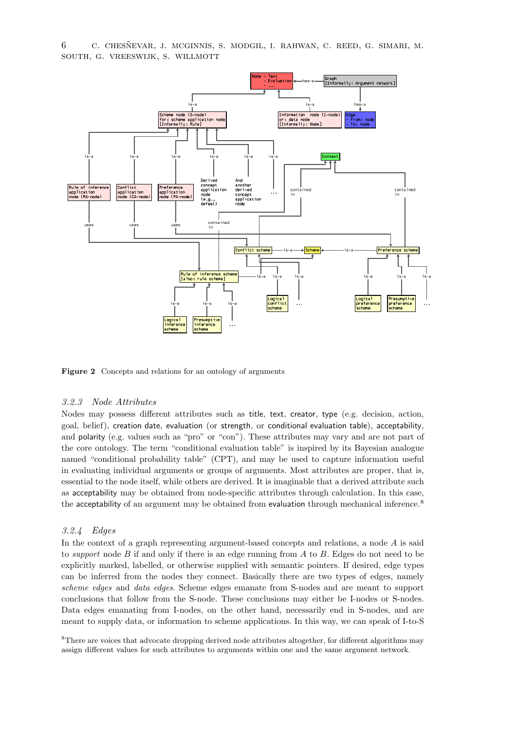

6 c. chesnevar, j. mcginnis, s. modgil, i. rahwan, c. reed, g. simari, m. south, g. vreeswijk, s. willmott

Figure 2 Concepts and relations for an ontology of arguments

#### 3.2.3 Node Attributes

Nodes may possess different attributes such as title, text, creator, type (e.g. decision, action, goal, belief), creation date, evaluation (or strength, or conditional evaluation table), acceptability, and polarity (e.g. values such as "pro" or "con"). These attributes may vary and are not part of the core ontology. The term "conditional evaluation table" is inspired by its Bayesian analogue named "conditional probability table" (CPT), and may be used to capture information useful in evaluating individual arguments or groups of arguments. Most attributes are proper, that is, essential to the node itself, while others are derived. It is imaginable that a derived attribute such as acceptability may be obtained from node-specific attributes through calculation. In this case, the acceptability of an argument may be obtained from evaluation through mechanical inference.<sup>8</sup>

# 3.2.4 Edges

In the context of a graph representing argument-based concepts and relations, a node  $A$  is said to support node  $B$  if and only if there is an edge running from  $A$  to  $B$ . Edges do not need to be explicitly marked, labelled, or otherwise supplied with semantic pointers. If desired, edge types can be inferred from the nodes they connect. Basically there are two types of edges, namely scheme edges and data edges. Scheme edges emanate from S-nodes and are meant to support conclusions that follow from the S-node. These conclusions may either be I-nodes or S-nodes. Data edges emanating from I-nodes, on the other hand, necessarily end in S-nodes, and are meant to supply data, or information to scheme applications. In this way, we can speak of I-to-S

<sup>8</sup>There are voices that advocate dropping derived node attributes altogether, for different algorithms may assign different values for such attributes to arguments within one and the same argument network.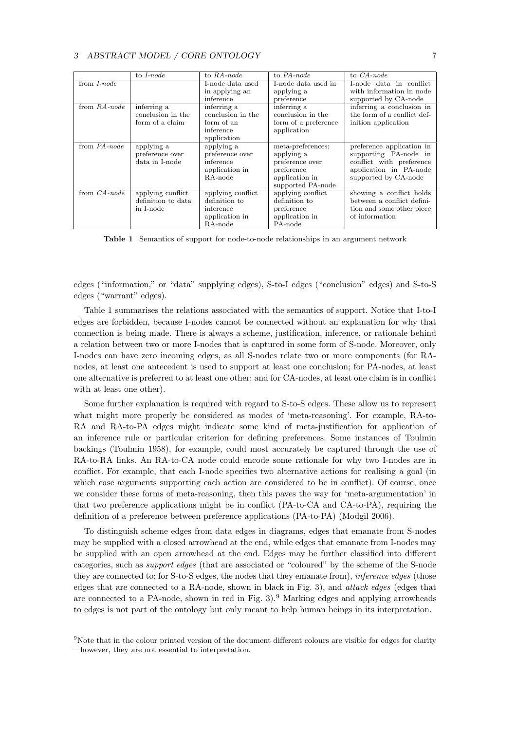#### 3 ABSTRACT MODEL / CORE ONTOLOGY 7

|                     | to <i>I-node</i>   | to $RA$ -node     | to PA-node           | to CA-node                  |
|---------------------|--------------------|-------------------|----------------------|-----------------------------|
| from <i>I-node</i>  |                    | I-node data used  | I-node data used in  | I-node data in conflict     |
|                     |                    | in applying an    | applying a           | with information in node    |
|                     |                    | inference         | preference           | supported by CA-node        |
| from RA-node        | inferring a        | inferring a       | inferring a          | inferring a conclusion in   |
|                     | conclusion in the  | conclusion in the | conclusion in the    | the form of a conflict def- |
|                     | form of a claim    | form of an        | form of a preference | inition application         |
|                     |                    | inference         | application          |                             |
|                     |                    | application       |                      |                             |
| from PA-node        | applying a         | applying a        | meta-preferences:    | preference application in   |
|                     | preference over    | preference over   | applying a           | supporting PA-node in       |
|                     | data in I-node     | inference         | preference over      | conflict with preference    |
|                     |                    | application in    | preference           | application in PA-node      |
|                     |                    | RA-node           | application in       | supported by CA-node        |
|                     |                    |                   | supported PA-node    |                             |
| from <i>CA-node</i> | applying conflict  | applying conflict | applying conflict    | showing a conflict holds    |
|                     | definition to data | definition to     | definition to        | between a conflict defini-  |
|                     | in I-node          | inference         | preference           | tion and some other piece   |
|                     |                    | application in    | application in       | of information              |
|                     |                    | RA-node           | PA-node              |                             |

Table 1 Semantics of support for node-to-node relationships in an argument network

edges ("information," or "data" supplying edges), S-to-I edges ("conclusion" edges) and S-to-S edges ("warrant" edges).

Table 1 summarises the relations associated with the semantics of support. Notice that I-to-I edges are forbidden, because I-nodes cannot be connected without an explanation for why that connection is being made. There is always a scheme, justification, inference, or rationale behind a relation between two or more I-nodes that is captured in some form of S-node. Moreover, only I-nodes can have zero incoming edges, as all S-nodes relate two or more components (for RAnodes, at least one antecedent is used to support at least one conclusion; for PA-nodes, at least one alternative is preferred to at least one other; and for CA-nodes, at least one claim is in conflict with at least one other).

Some further explanation is required with regard to S-to-S edges. These allow us to represent what might more properly be considered as modes of 'meta-reasoning'. For example, RA-to-RA and RA-to-PA edges might indicate some kind of meta-justification for application of an inference rule or particular criterion for defining preferences. Some instances of Toulmin backings (Toulmin 1958), for example, could most accurately be captured through the use of RA-to-RA links. An RA-to-CA node could encode some rationale for why two I-nodes are in conflict. For example, that each I-node specifies two alternative actions for realising a goal (in which case arguments supporting each action are considered to be in conflict). Of course, once we consider these forms of meta-reasoning, then this paves the way for 'meta-argumentation' in that two preference applications might be in conflict (PA-to-CA and CA-to-PA), requiring the definition of a preference between preference applications (PA-to-PA) (Modgil 2006).

To distinguish scheme edges from data edges in diagrams, edges that emanate from S-nodes may be supplied with a closed arrowhead at the end, while edges that emanate from I-nodes may be supplied with an open arrowhead at the end. Edges may be further classified into different categories, such as support edges (that are associated or "coloured" by the scheme of the S-node they are connected to; for S-to-S edges, the nodes that they emanate from), inference edges (those edges that are connected to a RA-node, shown in black in Fig. 3), and attack edges (edges that are connected to a PA-node, shown in red in Fig. 3).<sup>9</sup> Marking edges and applying arrowheads to edges is not part of the ontology but only meant to help human beings in its interpretation.

<sup>9</sup>Note that in the colour printed version of the document different colours are visible for edges for clarity – however, they are not essential to interpretation.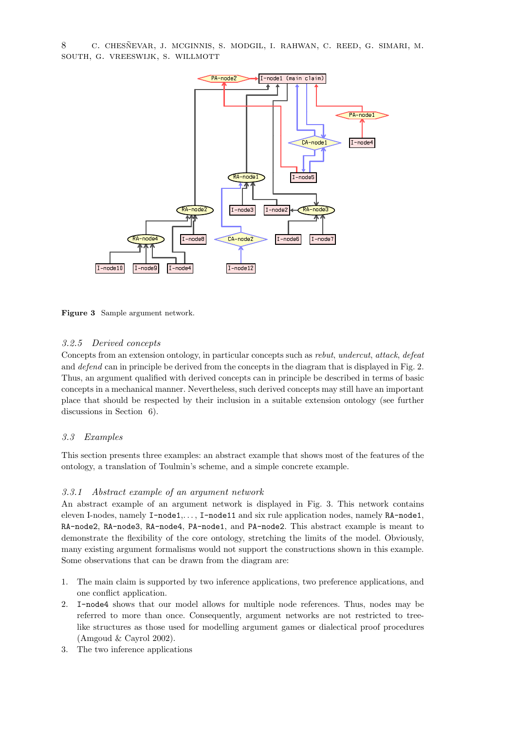

Figure 3 Sample argument network.

# 3.2.5 Derived concepts

Concepts from an extension ontology, in particular concepts such as rebut, undercut, attack, defeat and *defend* can in principle be derived from the concepts in the diagram that is displayed in Fig. 2. Thus, an argument qualified with derived concepts can in principle be described in terms of basic concepts in a mechanical manner. Nevertheless, such derived concepts may still have an important place that should be respected by their inclusion in a suitable extension ontology (see further discussions in Section 6).

# 3.3 Examples

This section presents three examples: an abstract example that shows most of the features of the ontology, a translation of Toulmin's scheme, and a simple concrete example.

# 3.3.1 Abstract example of an argument network

An abstract example of an argument network is displayed in Fig. 3. This network contains eleven I-nodes, namely I-node1,. . . , I-node11 and six rule application nodes, namely RA-node1, RA-node2, RA-node3, RA-node4, PA-node1, and PA-node2. This abstract example is meant to demonstrate the flexibility of the core ontology, stretching the limits of the model. Obviously, many existing argument formalisms would not support the constructions shown in this example. Some observations that can be drawn from the diagram are:

- 1. The main claim is supported by two inference applications, two preference applications, and one conflict application.
- 2. I-node4 shows that our model allows for multiple node references. Thus, nodes may be referred to more than once. Consequently, argument networks are not restricted to treelike structures as those used for modelling argument games or dialectical proof procedures (Amgoud & Cayrol 2002).
- 3. The two inference applications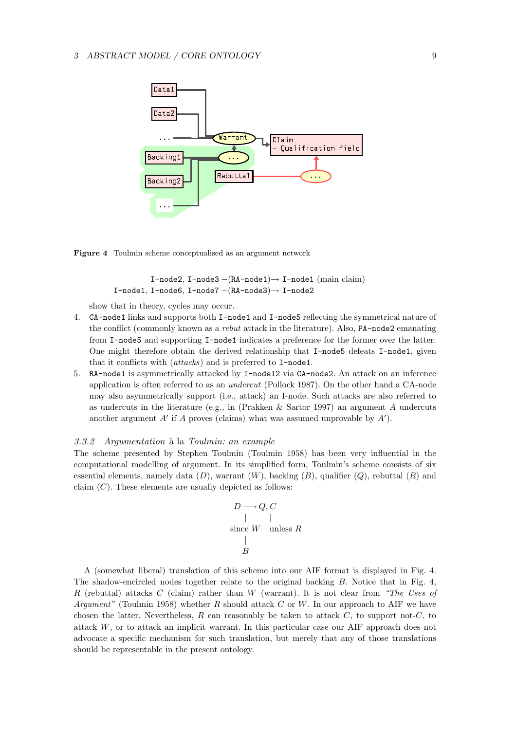

Figure 4 Toulmin scheme conceptualised as an argument network

```
I-node2, I-node3 −(RA-node1)→ I-node1 (main claim)
I-node1, I-node6, I-node7 −(RA-node3)→ I-node2
```
show that in theory, cycles may occur.

- 4. CA-node1 links and supports both I-node1 and I-node5 reflecting the symmetrical nature of the conflict (commonly known as a rebut attack in the literature). Also, PA-node2 emanating from I-node5 and supporting I-node1 indicates a preference for the former over the latter. One might therefore obtain the derived relationship that I-node5 defeats I-node1, given that it conflicts with (attacks) and is preferred to I-node1.
- 5. RA-node1 is asymmetrically attacked by I-node12 via CA-node2. An attack on an inference application is often referred to as an undercut (Pollock 1987). On the other hand a CA-node may also asymmetrically support (i.e., attack) an I-node. Such attacks are also referred to as undercuts in the literature (e.g., in (Prakken & Sartor 1997) an argument A undercuts another argument  $A'$  if A proves (claims) what was assumed unprovable by  $A'$ ).

#### 3.3.2 Argumentation à la Toulmin: an example

The scheme presented by Stephen Toulmin (Toulmin 1958) has been very influential in the computational modelling of argument. In its simplified form, Toulmin's scheme consists of six essential elements, namely data  $(D)$ , warrant  $(W)$ , backing  $(B)$ , qualifier  $(Q)$ , rebuttal  $(R)$  and claim  $(C)$ . These elements are usually depicted as follows:

$$
D \longrightarrow Q, C
$$
  
\n| |  
\nsince W unless R  
\n|  
\nB

A (somewhat liberal) translation of this scheme into our AIF format is displayed in Fig. 4. The shadow-encircled nodes together relate to the original backing B. Notice that in Fig. 4, R (rebuttal) attacks C (claim) rather than W (warrant). It is not clear from "The Uses of Argument" (Toulmin 1958) whether R should attack C or W. In our approach to AIF we have chosen the latter. Nevertheless, R can reasonably be taken to attack  $C$ , to support not- $C$ , to attack W, or to attack an implicit warrant. In this particular case our AIF approach does not advocate a specific mechanism for such translation, but merely that any of those translations should be representable in the present ontology.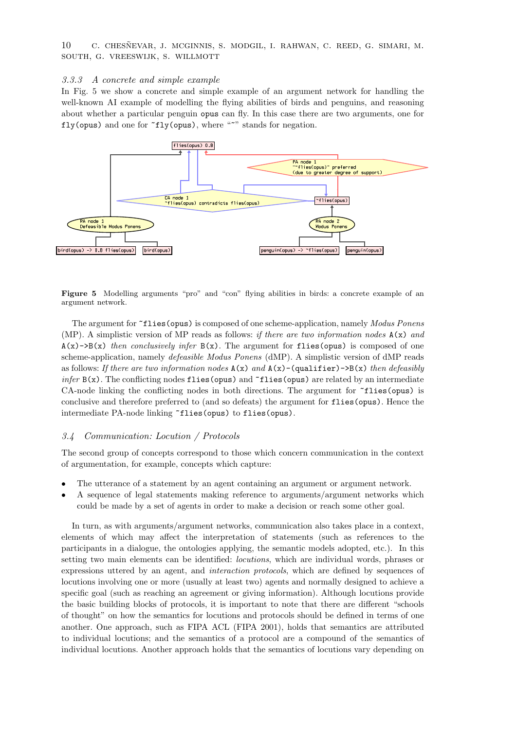#### 3.3.3 A concrete and simple example

In Fig. 5 we show a concrete and simple example of an argument network for handling the well-known AI example of modelling the flying abilities of birds and penguins, and reasoning about whether a particular penguin opus can fly. In this case there are two arguments, one for  $fly(opus)$  and one for  $^*fly(opus)$ , where "~" stands for negation.



Figure 5 Modelling arguments "pro" and "con" flying abilities in birds: a concrete example of an argument network.

The argument for ~flies(opus) is composed of one scheme-application, namely Modus Ponens (MP). A simplistic version of MP reads as follows: if there are two information nodes  $A(x)$  and  $A(x)-\frac{B(x)}{b}$  then conclusively infer  $B(x)$ . The argument for flies(opus) is composed of one scheme-application, namely defeasible Modus Ponens (dMP). A simplistic version of dMP reads as follows: If there are two information nodes  $A(x)$  and  $A(x)$ -(qualifier)->B(x) then defeasibly  $\inf$ er B(x). The conflicting nodes flies(opus) and  $\tilde{\ }$ flies(opus) are related by an intermediate CA-node linking the conflicting nodes in both directions. The argument for ~flies(opus) is conclusive and therefore preferred to (and so defeats) the argument for flies(opus). Hence the intermediate PA-node linking "flies(opus) to flies(opus).

## 3.4 Communication: Locution / Protocols

The second group of concepts correspond to those which concern communication in the context of argumentation, for example, concepts which capture:

- The utterance of a statement by an agent containing an argument or argument network.
- A sequence of legal statements making reference to arguments/argument networks which could be made by a set of agents in order to make a decision or reach some other goal.

In turn, as with arguments/argument networks, communication also takes place in a context, elements of which may affect the interpretation of statements (such as references to the participants in a dialogue, the ontologies applying, the semantic models adopted, etc.). In this setting two main elements can be identified: locutions, which are individual words, phrases or expressions uttered by an agent, and interaction protocols, which are defined by sequences of locutions involving one or more (usually at least two) agents and normally designed to achieve a specific goal (such as reaching an agreement or giving information). Although locutions provide the basic building blocks of protocols, it is important to note that there are different "schools of thought" on how the semantics for locutions and protocols should be defined in terms of one another. One approach, such as FIPA ACL (FIPA 2001), holds that semantics are attributed to individual locutions; and the semantics of a protocol are a compound of the semantics of individual locutions. Another approach holds that the semantics of locutions vary depending on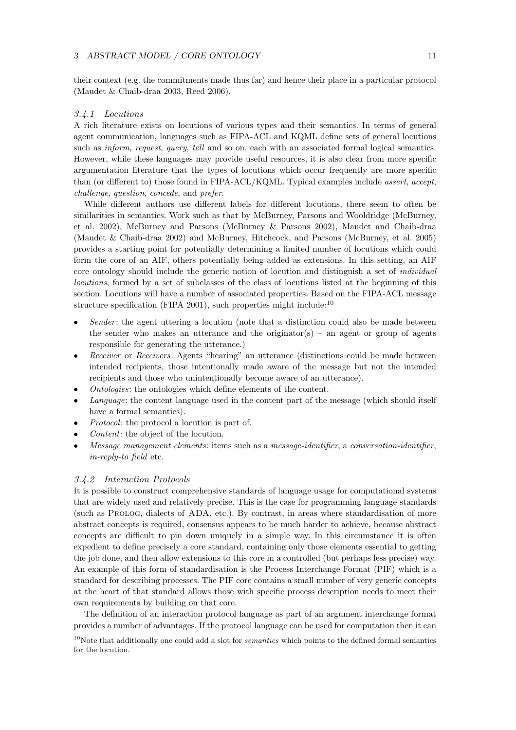their context (e.g. the commitments made thus far) and hence their place in a particular protocol (Maudet & Chaib-draa 2003, Reed 2006).

#### 3.4.1 Locutions

A rich literature exists on locutions of various types and their semantics. In terms of general agent communication, languages such as FIPA-ACL and KQML define sets of general locutions such as *inform, request, query, tell* and so on, each with an associated formal logical semantics. However, while these languages may provide useful resources, it is also clear from more specific argumentation literature that the types of locutions which occur frequently are more specific than (or different to) those found in FIPA-ACL/KQML. Typical examples include *assert*, *accept*, challenge, question, concede, and prefer.

While different authors use different labels for different locutions, there seem to often be similarities in semantics. Work such as that by McBurney, Parsons and Wooldridge (McBurney, et al. 2002), McBurney and Parsons (McBurney & Parsons 2002), Maudet and Chaib-draa (Maudet & Chaib-draa 2002) and McBurney, Hitchcock, and Parsons (McBurney, et al. 2005) provides a starting point for potentially determining a limited number of locutions which could form the core of an AIF, others potentially being added as extensions. In this setting, an AIF core ontology should include the generic notion of locution and distinguish a set of individual locutions, formed by a set of subclasses of the class of locutions listed at the beginning of this section. Locutions will have a number of associated properties. Based on the FIPA-ACL message structure specification (FIPA 2001), such properties might include: $^{10}$ 

- Sender : the agent uttering a locution (note that a distinction could also be made between the sender who makes an utterance and the originator(s) – an agent or group of agents responsible for generating the utterance.)
- Receiver or Receivers: Agents "hearing" an utterance (distinctions could be made between intended recipients, those intentionally made aware of the message but not the intended recipients and those who unintentionally become aware of an utterance).
- Ontologies: the ontologies which define elements of the content.
- Language: the content language used in the content part of the message (which should itself have a formal semantics).
- Protocol: the protocol a locution is part of.
- Content: the object of the locution.
- Message management elements: items such as a message-identifier, a conversation-identifier, in-reply-to field etc.

### 3.4.2 Interaction Protocols

It is possible to construct comprehensive standards of language usage for computational systems that are widely used and relatively precise. This is the case for programming language standards (such as Prolog, dialects of ADA, etc.). By contrast, in areas where standardisation of more abstract concepts is required, consensus appears to be much harder to achieve, because abstract concepts are difficult to pin down uniquely in a simple way. In this circumstance it is often expedient to define precisely a core standard, containing only those elements essential to getting the job done, and then allow extensions to this core in a controlled (but perhaps less precise) way. An example of this form of standardisation is the Process Interchange Format (PIF) which is a standard for describing processes. The PIF core contains a small number of very generic concepts at the heart of that standard allows those with specific process description needs to meet their own requirements by building on that core.

The definition of an interaction protocol language as part of an argument interchange format provides a number of advantages. If the protocol language can be used for computation then it can

 $10$ Note that additionally one could add a slot for *semantics* which points to the defined formal semantics for the locution.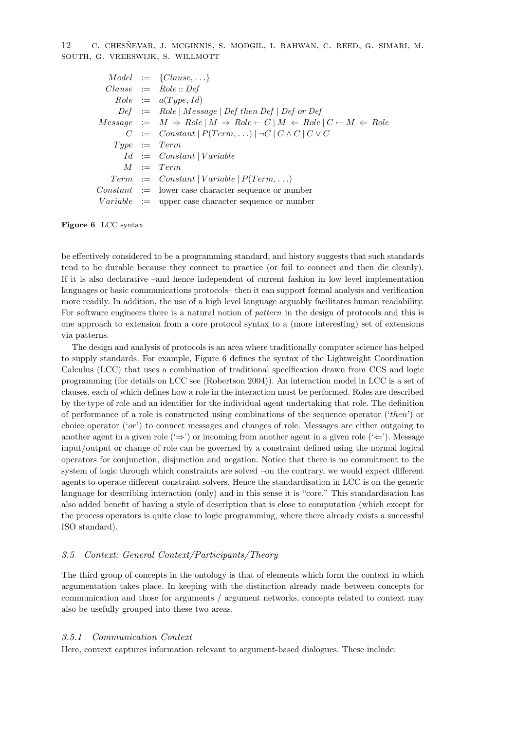|  | $Model \cong \{Clause, \ldots\}$                                                                                                   |
|--|------------------------------------------------------------------------------------------------------------------------------------|
|  | $Clause := Role::Def$                                                                                                              |
|  | $Role := a(Type, Id)$                                                                                                              |
|  | $Def \ := \ \text{Role} \mid Message \mid Def \text{ then } Def \mid Def \text{ or } Def$                                          |
|  | $Message \cong M \Rightarrow Role \mid M \Rightarrow Role \leftarrow C \mid M \Leftarrow Role \mid C \leftarrow M \Leftarrow Role$ |
|  | $C \cong Constant   P(Term, \ldots)   \neg C   C \wedge C   C \vee C$                                                              |
|  | $Type \cong Term$                                                                                                                  |
|  | $Id := Constant   Variable$                                                                                                        |
|  | $M := Term$                                                                                                                        |
|  | $Term := Constant   Variable   P(Term, )$                                                                                          |
|  | $Constant := lower case character sequence or number$                                                                              |
|  | $Variable \equiv upper case character sequence or number$                                                                          |

#### Figure 6 LCC syntax

be effectively considered to be a programming standard, and history suggests that such standards tend to be durable because they connect to practice (or fail to connect and then die cleanly). If it is also declarative –and hence independent of current fashion in low level implementation languages or basic communications protocols– then it can support formal analysis and verification more readily. In addition, the use of a high level language arguably facilitates human readability. For software engineers there is a natural notion of pattern in the design of protocols and this is one approach to extension from a core protocol syntax to a (more interesting) set of extensions via patterns.

The design and analysis of protocols is an area where traditionally computer science has helped to supply standards. For example, Figure 6 defines the syntax of the Lightweight Coordination Calculus (LCC) that uses a combination of traditional specification drawn from CCS and logic programming (for details on LCC see (Robertson 2004)). An interaction model in LCC is a set of clauses, each of which defines how a role in the interaction must be performed. Roles are described by the type of role and an identifier for the individual agent undertaking that role. The definition of performance of a role is constructed using combinations of the sequence operator ('then') or choice operator (' $or$ ') to connect messages and changes of role. Messages are either outgoing to another agent in a given role (' $\Rightarrow$ ') or incoming from another agent in a given role (' $\Leftarrow$ '). Message input/output or change of role can be governed by a constraint defined using the normal logical operators for conjunction, disjunction and negation. Notice that there is no commitment to the system of logic through which constraints are solved –on the contrary, we would expect different agents to operate different constraint solvers. Hence the standardisation in LCC is on the generic language for describing interaction (only) and in this sense it is "core." This standardisation has also added benefit of having a style of description that is close to computation (which except for the process operators is quite close to logic programming, where there already exists a successful ISO standard).

# 3.5 Context: General Context/Participants/Theory

The third group of concepts in the ontology is that of elements which form the context in which argumentation takes place. In keeping with the distinction already made between concepts for communication and those for arguments / argument networks, concepts related to context may also be usefully grouped into these two areas.

#### 3.5.1 Communication Context

Here, context captures information relevant to argument-based dialogues. These include: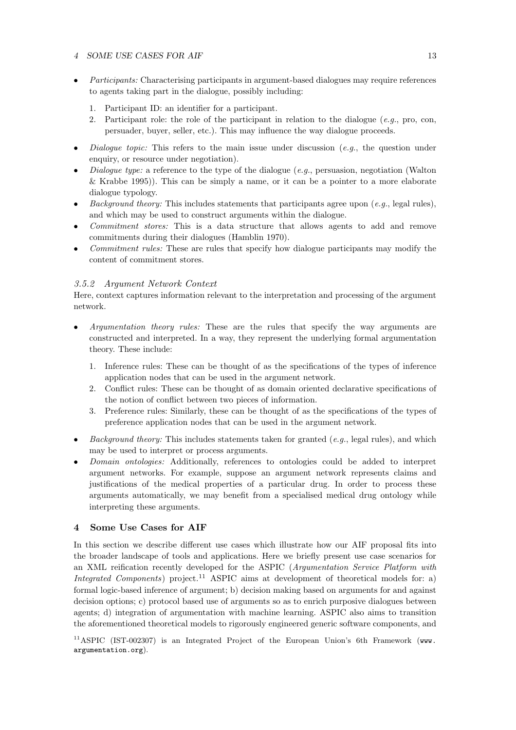## 4 SOME USE CASES FOR AIF 13

- Participants: Characterising participants in argument-based dialogues may require references to agents taking part in the dialogue, possibly including:
	- 1. Participant ID: an identifier for a participant.
	- 2. Participant role: the role of the participant in relation to the dialogue  $(e,q, p, \text{ro.})$ persuader, buyer, seller, etc.). This may influence the way dialogue proceeds.
- *Dialogue topic:* This refers to the main issue under discussion  $(e,q)$ , the question under enquiry, or resource under negotiation).
- *Dialogue type:* a reference to the type of the dialogue  $(e.g.,)$  persuasion, negotiation (Walton & Krabbe 1995)). This can be simply a name, or it can be a pointer to a more elaborate dialogue typology.
- *Background theory:* This includes statements that participants agree upon  $(e.g.,$  legal rules), and which may be used to construct arguments within the dialogue.
- Commitment stores: This is a data structure that allows agents to add and remove commitments during their dialogues (Hamblin 1970).
- Commitment rules: These are rules that specify how dialogue participants may modify the content of commitment stores.

## 3.5.2 Argument Network Context

Here, context captures information relevant to the interpretation and processing of the argument network.

- Argumentation theory rules: These are the rules that specify the way arguments are constructed and interpreted. In a way, they represent the underlying formal argumentation theory. These include:
	- 1. Inference rules: These can be thought of as the specifications of the types of inference application nodes that can be used in the argument network.
	- 2. Conflict rules: These can be thought of as domain oriented declarative specifications of the notion of conflict between two pieces of information.
	- 3. Preference rules: Similarly, these can be thought of as the specifications of the types of preference application nodes that can be used in the argument network.
- Background theory: This includes statements taken for granted  $(e.g., ]$  legal rules), and which may be used to interpret or process arguments.
- Domain ontologies: Additionally, references to ontologies could be added to interpret argument networks. For example, suppose an argument network represents claims and justifications of the medical properties of a particular drug. In order to process these arguments automatically, we may benefit from a specialised medical drug ontology while interpreting these arguments.

# 4 Some Use Cases for AIF

In this section we describe different use cases which illustrate how our AIF proposal fits into the broader landscape of tools and applications. Here we briefly present use case scenarios for an XML reification recently developed for the ASPIC (Argumentation Service Platform with Integrated Components) project.<sup>11</sup> ASPIC aims at development of theoretical models for: a) formal logic-based inference of argument; b) decision making based on arguments for and against decision options; c) protocol based use of arguments so as to enrich purposive dialogues between agents; d) integration of argumentation with machine learning. ASPIC also aims to transition the aforementioned theoretical models to rigorously engineered generic software components, and

<sup>11</sup>ASPIC (IST-002307) is an Integrated Project of the European Union's 6th Framework (www. argumentation.org).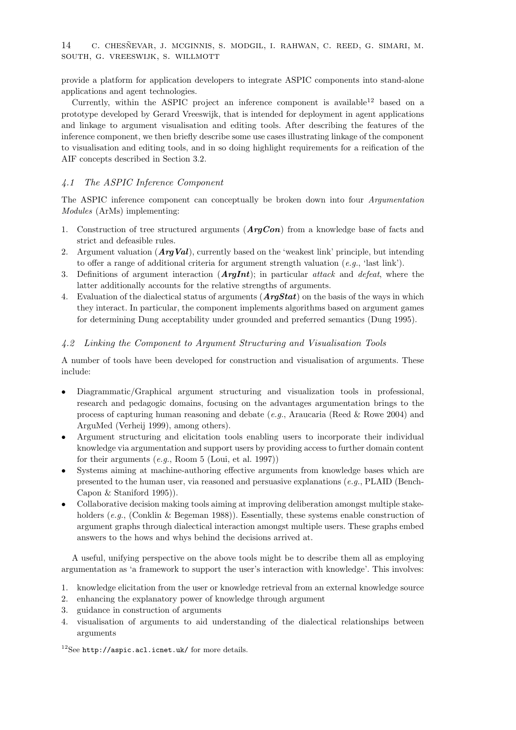provide a platform for application developers to integrate ASPIC components into stand-alone applications and agent technologies.

Currently, within the ASPIC project an inference component is available<sup>12</sup> based on a prototype developed by Gerard Vreeswijk, that is intended for deployment in agent applications and linkage to argument visualisation and editing tools. After describing the features of the inference component, we then briefly describe some use cases illustrating linkage of the component to visualisation and editing tools, and in so doing highlight requirements for a reification of the AIF concepts described in Section 3.2.

## 4.1 The ASPIC Inference Component

The ASPIC inference component can conceptually be broken down into four Argumentation Modules (ArMs) implementing:

- 1. Construction of tree structured arguments  $(\textit{ArgCon})$  from a knowledge base of facts and strict and defeasible rules.
- 2. Argument valuation  $(ArqVal)$ , currently based on the 'weakest link' principle, but intending to offer a range of additional criteria for argument strength valuation  $(e.g., 'last link').$
- 3. Definitions of argument interaction  $(A \eta \hat{I}nt)$ ; in particular *attack* and *defeat*, where the latter additionally accounts for the relative strengths of arguments.
- 4. Evaluation of the dialectical status of arguments  $(\textit{ArgStat})$  on the basis of the ways in which they interact. In particular, the component implements algorithms based on argument games for determining Dung acceptability under grounded and preferred semantics (Dung 1995).

## 4.2 Linking the Component to Argument Structuring and Visualisation Tools

A number of tools have been developed for construction and visualisation of arguments. These include:

- Diagrammatic/Graphical argument structuring and visualization tools in professional, research and pedagogic domains, focusing on the advantages argumentation brings to the process of capturing human reasoning and debate (e.g., Araucaria (Reed & Rowe 2004) and ArguMed (Verheij 1999), among others).
- Argument structuring and elicitation tools enabling users to incorporate their individual knowledge via argumentation and support users by providing access to further domain content for their arguments  $(e.g., Room\ 5 (Louis, et al. 1997))$
- Systems aiming at machine-authoring effective arguments from knowledge bases which are presented to the human user, via reasoned and persuasive explanations  $(e.a., \text{PLAID (Bench-})$ Capon & Staniford 1995)).
- Collaborative decision making tools aiming at improving deliberation amongst multiple stakeholders  $(e.g., (Conklin \& \text{Begeman 1988})).$  Essentially, these systems enable construction of argument graphs through dialectical interaction amongst multiple users. These graphs embed answers to the hows and whys behind the decisions arrived at.

A useful, unifying perspective on the above tools might be to describe them all as employing argumentation as 'a framework to support the user's interaction with knowledge'. This involves:

- 1. knowledge elicitation from the user or knowledge retrieval from an external knowledge source
- 2. enhancing the explanatory power of knowledge through argument
- 3. guidance in construction of arguments
- 4. visualisation of arguments to aid understanding of the dialectical relationships between arguments

 $12$ See http://aspic.acl.icnet.uk/ for more details.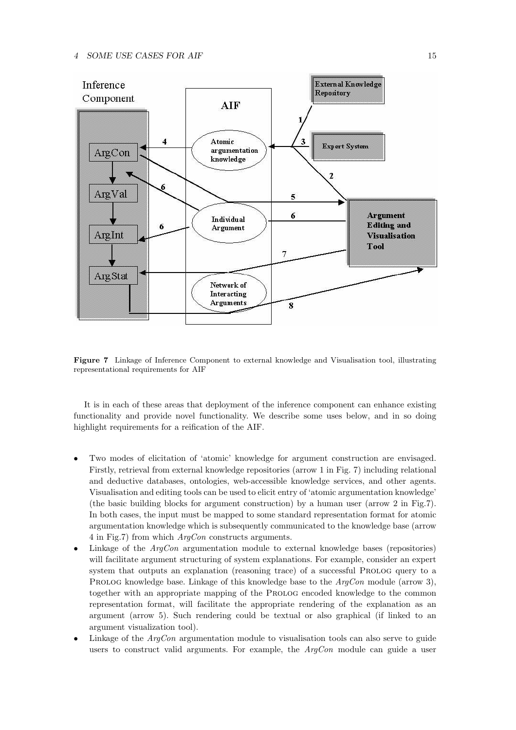

Figure 7 Linkage of Inference Component to external knowledge and Visualisation tool, illustrating representational requirements for AIF

It is in each of these areas that deployment of the inference component can enhance existing functionality and provide novel functionality. We describe some uses below, and in so doing highlight requirements for a reification of the AIF.

- Two modes of elicitation of 'atomic' knowledge for argument construction are envisaged. Firstly, retrieval from external knowledge repositories (arrow 1 in Fig. 7) including relational and deductive databases, ontologies, web-accessible knowledge services, and other agents. Visualisation and editing tools can be used to elicit entry of 'atomic argumentation knowledge' (the basic building blocks for argument construction) by a human user (arrow 2 in Fig.7). In both cases, the input must be mapped to some standard representation format for atomic argumentation knowledge which is subsequently communicated to the knowledge base (arrow 4 in Fig.7) from which  $ArgCon$  constructs arguments.
- Linkage of the  $ArgCon$  argumentation module to external knowledge bases (repositories) will facilitate argument structuring of system explanations. For example, consider an expert system that outputs an explanation (reasoning trace) of a successful PROLOG query to a PROLOG knowledge base. Linkage of this knowledge base to the  $ArgCon$  module (arrow 3), together with an appropriate mapping of the Prolog encoded knowledge to the common representation format, will facilitate the appropriate rendering of the explanation as an argument (arrow 5). Such rendering could be textual or also graphical (if linked to an argument visualization tool).
- Linkage of the  $ArgCon$  argumentation module to visualisation tools can also serve to guide users to construct valid arguments. For example, the  $A<sub>T</sub>qCon$  module can guide a user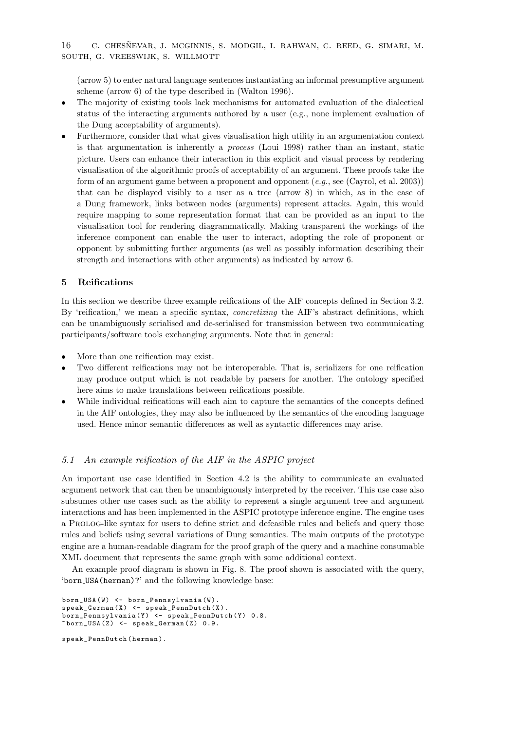(arrow 5) to enter natural language sentences instantiating an informal presumptive argument scheme (arrow 6) of the type described in (Walton 1996).

- The majority of existing tools lack mechanisms for automated evaluation of the dialectical status of the interacting arguments authored by a user (e.g., none implement evaluation of the Dung acceptability of arguments).
- Furthermore, consider that what gives visualisation high utility in an argumentation context is that argumentation is inherently a process (Loui 1998) rather than an instant, static picture. Users can enhance their interaction in this explicit and visual process by rendering visualisation of the algorithmic proofs of acceptability of an argument. These proofs take the form of an argument game between a proponent and opponent  $(e.g.,\sec$  (Cayrol, et al. 2003)) that can be displayed visibly to a user as a tree (arrow 8) in which, as in the case of a Dung framework, links between nodes (arguments) represent attacks. Again, this would require mapping to some representation format that can be provided as an input to the visualisation tool for rendering diagrammatically. Making transparent the workings of the inference component can enable the user to interact, adopting the role of proponent or opponent by submitting further arguments (as well as possibly information describing their strength and interactions with other arguments) as indicated by arrow 6.

# 5 Reifications

In this section we describe three example reifications of the AIF concepts defined in Section 3.2. By 'reification,' we mean a specific syntax, *concretizing* the AIF's abstract definitions, which can be unambiguously serialised and de-serialised for transmission between two communicating participants/software tools exchanging arguments. Note that in general:

- More than one reification may exist.
- Two different reifications may not be interoperable. That is, serializers for one reification may produce output which is not readable by parsers for another. The ontology specified here aims to make translations between reifications possible.
- While individual reifications will each aim to capture the semantics of the concepts defined in the AIF ontologies, they may also be influenced by the semantics of the encoding language used. Hence minor semantic differences as well as syntactic differences may arise.

# 5.1 An example reification of the AIF in the ASPIC project

An important use case identified in Section 4.2 is the ability to communicate an evaluated argument network that can then be unambiguously interpreted by the receiver. This use case also subsumes other use cases such as the ability to represent a single argument tree and argument interactions and has been implemented in the ASPIC prototype inference engine. The engine uses a Prolog-like syntax for users to define strict and defeasible rules and beliefs and query those rules and beliefs using several variations of Dung semantics. The main outputs of the prototype engine are a human-readable diagram for the proof graph of the query and a machine consumable XML document that represents the same graph with some additional context.

An example proof diagram is shown in Fig. 8. The proof shown is associated with the query, 'born USA(herman)?' and the following knowledge base:

```
born_USA (W) <- born_Pennsylvania (W).
speak_German (X) <- speak_PennDutch(X).
born_Pennsylvania (Y) <- speak_PennDutch (Y) 0.8.
\texttt{form\_USA(Z)} \leq \texttt{speak\_German(Z)} \quad 0.9.speak_PennDutch ( herman ).
```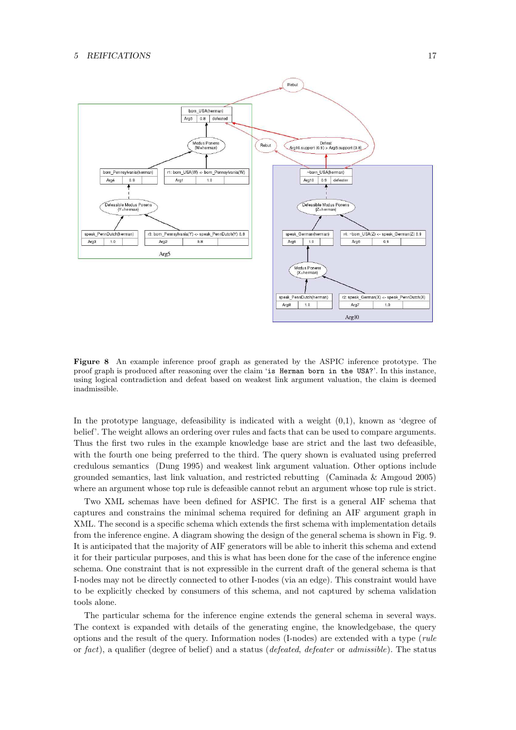#### 5 REIFICATIONS 17



Figure 8 An example inference proof graph as generated by the ASPIC inference prototype. The proof graph is produced after reasoning over the claim 'is Herman born in the USA?'. In this instance, using logical contradiction and defeat based on weakest link argument valuation, the claim is deemed inadmissible.

In the prototype language, defeasibility is indicated with a weight  $(0,1)$ , known as 'degree of belief'. The weight allows an ordering over rules and facts that can be used to compare arguments. Thus the first two rules in the example knowledge base are strict and the last two defeasible, with the fourth one being preferred to the third. The query shown is evaluated using preferred credulous semantics (Dung 1995) and weakest link argument valuation. Other options include grounded semantics, last link valuation, and restricted rebutting (Caminada & Amgoud 2005) where an argument whose top rule is defeasible cannot rebut an argument whose top rule is strict.

Two XML schemas have been defined for ASPIC. The first is a general AIF schema that captures and constrains the minimal schema required for defining an AIF argument graph in XML. The second is a specific schema which extends the first schema with implementation details from the inference engine. A diagram showing the design of the general schema is shown in Fig. 9. It is anticipated that the majority of AIF generators will be able to inherit this schema and extend it for their particular purposes, and this is what has been done for the case of the inference engine schema. One constraint that is not expressible in the current draft of the general schema is that I-nodes may not be directly connected to other I-nodes (via an edge). This constraint would have to be explicitly checked by consumers of this schema, and not captured by schema validation tools alone.

The particular schema for the inference engine extends the general schema in several ways. The context is expanded with details of the generating engine, the knowledgebase, the query options and the result of the query. Information nodes (I-nodes) are extended with a type (rule or fact), a qualifier (degree of belief) and a status (defeated, defeater or admissible). The status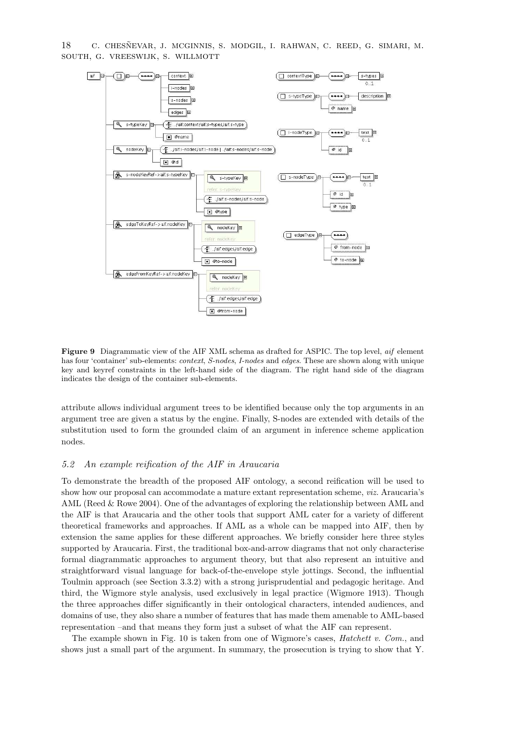18 c. chesnevar, j. mcginnis, s. modgil, i. rahwan, c. reed, g. simari, m. south, g. vreeswijk, s. willmott



Figure 9 Diagrammatic view of the AIF XML schema as drafted for ASPIC. The top level, aif element has four 'container' sub-elements: *context*, *S-nodes*, *I-nodes* and *edges*. These are shown along with unique key and keyref constraints in the left-hand side of the diagram. The right hand side of the diagram indicates the design of the container sub-elements.

attribute allows individual argument trees to be identified because only the top arguments in an argument tree are given a status by the engine. Finally, S-nodes are extended with details of the substitution used to form the grounded claim of an argument in inference scheme application nodes.

### 5.2 An example reification of the AIF in Araucaria

To demonstrate the breadth of the proposed AIF ontology, a second reification will be used to show how our proposal can accommodate a mature extant representation scheme, viz. Araucaria's AML (Reed & Rowe 2004). One of the advantages of exploring the relationship between AML and the AIF is that Araucaria and the other tools that support AML cater for a variety of different theoretical frameworks and approaches. If AML as a whole can be mapped into AIF, then by extension the same applies for these different approaches. We briefly consider here three styles supported by Araucaria. First, the traditional box-and-arrow diagrams that not only characterise formal diagrammatic approaches to argument theory, but that also represent an intuitive and straightforward visual language for back-of-the-envelope style jottings. Second, the influential Toulmin approach (see Section 3.3.2) with a strong jurisprudential and pedagogic heritage. And third, the Wigmore style analysis, used exclusively in legal practice (Wigmore 1913). Though the three approaches differ significantly in their ontological characters, intended audiences, and domains of use, they also share a number of features that has made them amenable to AML-based representation –and that means they form just a subset of what the AIF can represent.

The example shown in Fig. 10 is taken from one of Wigmore's cases, *Hatchett v. Com.*, and shows just a small part of the argument. In summary, the prosecution is trying to show that Y.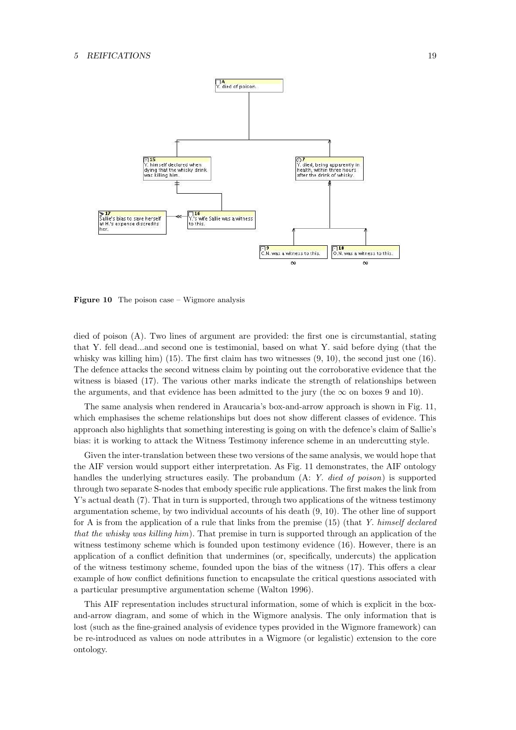

Figure 10 The poison case – Wigmore analysis

died of poison (A). Two lines of argument are provided: the first one is circumstantial, stating that Y. fell dead...and second one is testimonial, based on what Y. said before dying (that the whisky was killing him) (15). The first claim has two witnesses  $(9, 10)$ , the second just one (16). The defence attacks the second witness claim by pointing out the corroborative evidence that the witness is biased (17). The various other marks indicate the strength of relationships between the arguments, and that evidence has been admitted to the jury (the  $\infty$  on boxes 9 and 10).

The same analysis when rendered in Araucaria's box-and-arrow approach is shown in Fig. 11, which emphasises the scheme relationships but does not show different classes of evidence. This approach also highlights that something interesting is going on with the defence's claim of Sallie's bias: it is working to attack the Witness Testimony inference scheme in an undercutting style.

Given the inter-translation between these two versions of the same analysis, we would hope that the AIF version would support either interpretation. As Fig. 11 demonstrates, the AIF ontology handles the underlying structures easily. The probandum (A: Y. died of poison) is supported through two separate S-nodes that embody specific rule applications. The first makes the link from Y's actual death (7). That in turn is supported, through two applications of the witness testimony argumentation scheme, by two individual accounts of his death (9, 10). The other line of support for A is from the application of a rule that links from the premise  $(15)$  (that Y. himself declared that the whisky was killing him). That premise in turn is supported through an application of the witness testimony scheme which is founded upon testimony evidence (16). However, there is an application of a conflict definition that undermines (or, specifically, undercuts) the application of the witness testimony scheme, founded upon the bias of the witness (17). This offers a clear example of how conflict definitions function to encapsulate the critical questions associated with a particular presumptive argumentation scheme (Walton 1996).

This AIF representation includes structural information, some of which is explicit in the boxand-arrow diagram, and some of which in the Wigmore analysis. The only information that is lost (such as the fine-grained analysis of evidence types provided in the Wigmore framework) can be re-introduced as values on node attributes in a Wigmore (or legalistic) extension to the core ontology.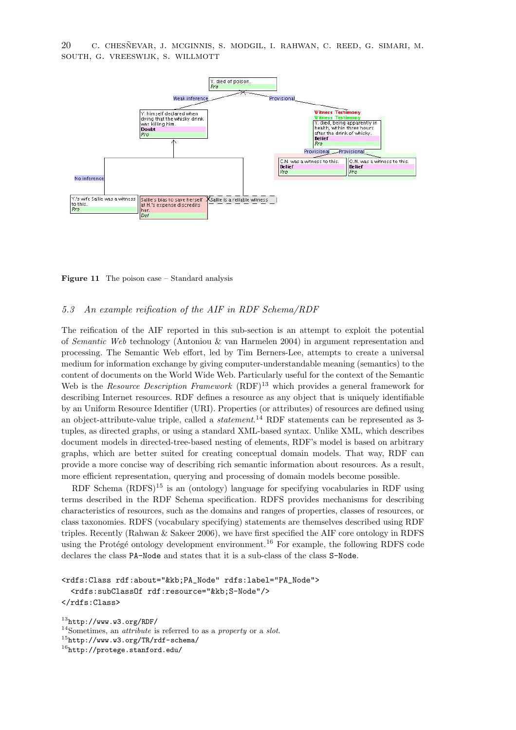

Figure 11 The poison case – Standard analysis

### 5.3 An example reification of the AIF in RDF Schema/RDF

The reification of the AIF reported in this sub-section is an attempt to exploit the potential of Semantic Web technology (Antoniou & van Harmelen 2004) in argument representation and processing. The Semantic Web effort, led by Tim Berners-Lee, attempts to create a universal medium for information exchange by giving computer-understandable meaning (semantics) to the content of documents on the World Wide Web. Particularly useful for the context of the Semantic Web is the Resource Description Framework  $(RDF)^{13}$  which provides a general framework for describing Internet resources. RDF defines a resource as any object that is uniquely identifiable by an Uniform Resource Identifier (URI). Properties (or attributes) of resources are defined using an object-attribute-value triple, called a *statement*.<sup>14</sup> RDF statements can be represented as 3tuples, as directed graphs, or using a standard XML-based syntax. Unlike XML, which describes document models in directed-tree-based nesting of elements, RDF's model is based on arbitrary graphs, which are better suited for creating conceptual domain models. That way, RDF can provide a more concise way of describing rich semantic information about resources. As a result, more efficient representation, querying and processing of domain models become possible.

RDF Schema  $(RDFS)^{15}$  is an (ontology) language for specifying vocabularies in RDF using terms described in the RDF Schema specification. RDFS provides mechanisms for describing characteristics of resources, such as the domains and ranges of properties, classes of resources, or class taxonomies. RDFS (vocabulary specifying) statements are themselves described using RDF triples. Recently (Rahwan & Sakeer 2006), we have first specified the AIF core ontology in RDFS using the Protégé ontology development environment.<sup>16</sup> For example, the following RDFS code declares the class PA-Node and states that it is a sub-class of the class S-Node.

```
<rdfs:Class rdf:about="&kb;PA_Node" rdfs:label="PA_Node">
  <rdfs:subClassOf rdf:resource="&kb;S-Node"/>
\langle \text{rdfs:Class}\rangle
```

```
13http://www.w3.org/RDF/
```

```
14Sometimes, an attribute is referred to as a property or a slot.
```

```
15http://www.w3.org/TR/rdf-schema/
```

```
16http://protege.stanford.edu/
```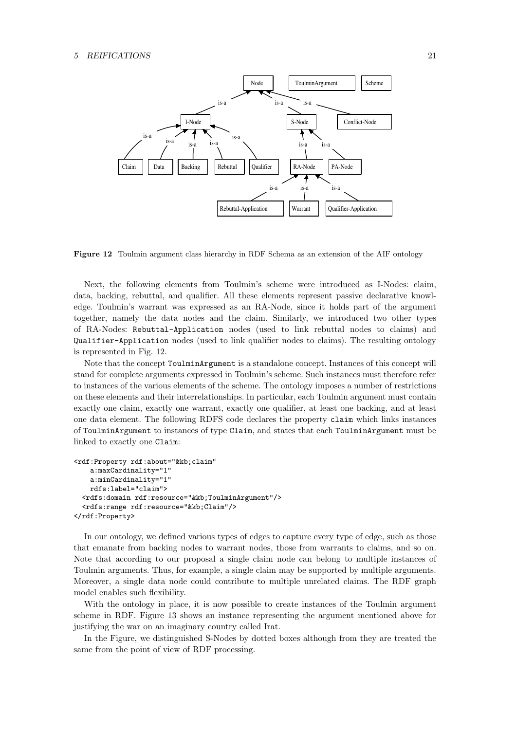

Figure 12 Toulmin argument class hierarchy in RDF Schema as an extension of the AIF ontology

Next, the following elements from Toulmin's scheme were introduced as I-Nodes: claim, data, backing, rebuttal, and qualifier. All these elements represent passive declarative knowledge. Toulmin's warrant was expressed as an RA-Node, since it holds part of the argument together, namely the data nodes and the claim. Similarly, we introduced two other types of RA-Nodes: Rebuttal-Application nodes (used to link rebuttal nodes to claims) and Qualifier-Application nodes (used to link qualifier nodes to claims). The resulting ontology is represented in Fig. 12.

Note that the concept ToulminArgument is a standalone concept. Instances of this concept will stand for complete arguments expressed in Toulmin's scheme. Such instances must therefore refer to instances of the various elements of the scheme. The ontology imposes a number of restrictions on these elements and their interrelationships. In particular, each Toulmin argument must contain exactly one claim, exactly one warrant, exactly one qualifier, at least one backing, and at least one data element. The following RDFS code declares the property claim which links instances of ToulminArgument to instances of type Claim, and states that each ToulminArgument must be linked to exactly one Claim:

```
<rdf:Property rdf:about="&kb;claim"
   a:maxCardinality="1"
   a:minCardinality="1"
   rdfs:label="claim">
 <rdfs:domain rdf:resource="&kb;ToulminArgument"/>
 <rdfs:range rdf:resource="&kb;Claim"/>
</rdf:Property>
```
In our ontology, we defined various types of edges to capture every type of edge, such as those that emanate from backing nodes to warrant nodes, those from warrants to claims, and so on. Note that according to our proposal a single claim node can belong to multiple instances of Toulmin arguments. Thus, for example, a single claim may be supported by multiple arguments. Moreover, a single data node could contribute to multiple unrelated claims. The RDF graph model enables such flexibility.

With the ontology in place, it is now possible to create instances of the Toulmin argument scheme in RDF. Figure 13 shows an instance representing the argument mentioned above for justifying the war on an imaginary country called Irat.

In the Figure, we distinguished S-Nodes by dotted boxes although from they are treated the same from the point of view of RDF processing.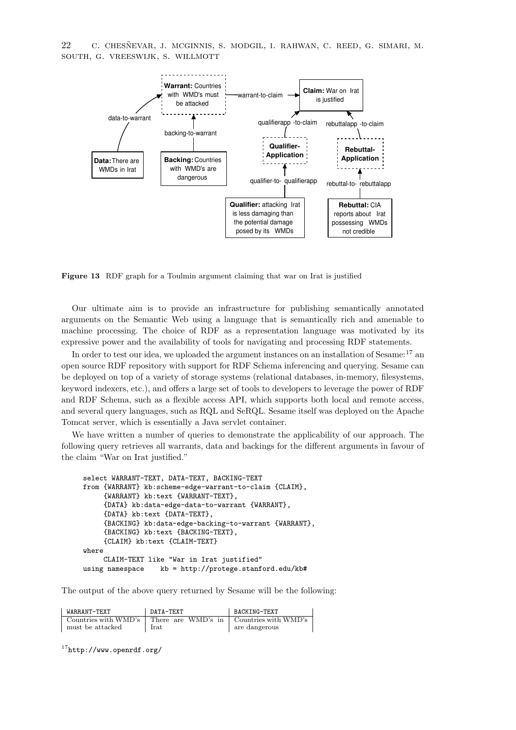

Figure 13 RDF graph for a Toulmin argument claiming that war on Irat is justified

Our ultimate aim is to provide an infrastructure for publishing semantically annotated arguments on the Semantic Web using a language that is semantically rich and amenable to machine processing. The choice of RDF as a representation language was motivated by its expressive power and the availability of tools for navigating and processing RDF statements.

In order to test our idea, we uploaded the argument instances on an installation of Sesame:<sup>17</sup> an open source RDF repository with support for RDF Schema inferencing and querying. Sesame can be deployed on top of a variety of storage systems (relational databases, in-memory, filesystems, keyword indexers, etc.), and offers a large set of tools to developers to leverage the power of RDF and RDF Schema, such as a flexible access API, which supports both local and remote access, and several query languages, such as RQL and SeRQL. Sesame itself was deployed on the Apache Tomcat server, which is essentially a Java servlet container.

We have written a number of queries to demonstrate the applicability of our approach. The following query retrieves all warrants, data and backings for the different arguments in favour of the claim "War on Irat justified."

```
select WARRANT-TEXT, DATA-TEXT, BACKING-TEXT
from {WARRANT} kb:scheme-edge-warrant-to-claim {CLAIM},
     {WARRANT} kb:text {WARRANT-TEXT},
     {DATA} kb:data-edge-data-to-warrant {WARRANT},
     {DATA} kb:text {DATA-TEXT},
     {BACKING} kb:data-edge-backing-to-warrant {WARRANT},
     {BACKING} kb:text {BACKING-TEXT},
     {CLAIM} kb:text {CLAIM-TEXT}
where
     CLAIM-TEXT like "War in Irat justified"
using namespace kb = http://protege.stanford.edu/kb#
```
The output of the above query returned by Sesame will be the following:

| WARRANT-TEXT     | DATA-TEXT                                                                            | BACKING-TEXT  |
|------------------|--------------------------------------------------------------------------------------|---------------|
|                  | Countries with WMD's $\parallel$ There are WMD's in $\parallel$ Countries with WMD's |               |
| must be attacked |                                                                                      | are dangerous |

<sup>17</sup>http://www.openrdf.org/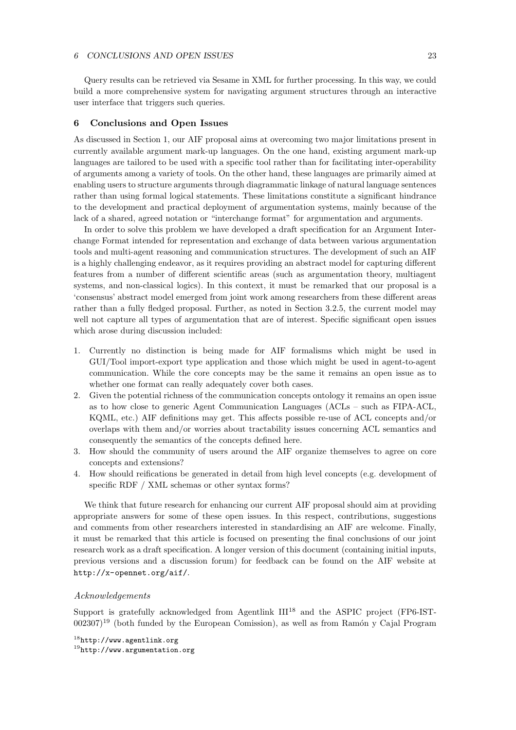Query results can be retrieved via Sesame in XML for further processing. In this way, we could build a more comprehensive system for navigating argument structures through an interactive user interface that triggers such queries.

#### 6 Conclusions and Open Issues

As discussed in Section 1, our AIF proposal aims at overcoming two major limitations present in currently available argument mark-up languages. On the one hand, existing argument mark-up languages are tailored to be used with a specific tool rather than for facilitating inter-operability of arguments among a variety of tools. On the other hand, these languages are primarily aimed at enabling users to structure arguments through diagrammatic linkage of natural language sentences rather than using formal logical statements. These limitations constitute a significant hindrance to the development and practical deployment of argumentation systems, mainly because of the lack of a shared, agreed notation or "interchange format" for argumentation and arguments.

In order to solve this problem we have developed a draft specification for an Argument Interchange Format intended for representation and exchange of data between various argumentation tools and multi-agent reasoning and communication structures. The development of such an AIF is a highly challenging endeavor, as it requires providing an abstract model for capturing different features from a number of different scientific areas (such as argumentation theory, multiagent systems, and non-classical logics). In this context, it must be remarked that our proposal is a 'consensus' abstract model emerged from joint work among researchers from these different areas rather than a fully fledged proposal. Further, as noted in Section 3.2.5, the current model may well not capture all types of argumentation that are of interest. Specific significant open issues which arose during discussion included:

- 1. Currently no distinction is being made for AIF formalisms which might be used in GUI/Tool import-export type application and those which might be used in agent-to-agent communication. While the core concepts may be the same it remains an open issue as to whether one format can really adequately cover both cases.
- 2. Given the potential richness of the communication concepts ontology it remains an open issue as to how close to generic Agent Communication Languages (ACLs – such as FIPA-ACL, KQML, etc.) AIF definitions may get. This affects possible re-use of ACL concepts and/or overlaps with them and/or worries about tractability issues concerning ACL semantics and consequently the semantics of the concepts defined here.
- 3. How should the community of users around the AIF organize themselves to agree on core concepts and extensions?
- 4. How should reifications be generated in detail from high level concepts (e.g. development of specific RDF / XML schemas or other syntax forms?

We think that future research for enhancing our current AIF proposal should aim at providing appropriate answers for some of these open issues. In this respect, contributions, suggestions and comments from other researchers interested in standardising an AIF are welcome. Finally, it must be remarked that this article is focused on presenting the final conclusions of our joint research work as a draft specification. A longer version of this document (containing initial inputs, previous versions and a discussion forum) for feedback can be found on the AIF website at http://x-opennet.org/aif/.

#### Acknowledgements

Support is gratefully acknowledged from Agentlink  $III^{18}$  and the ASPIC project (FP6-IST- $002307$ <sup>19</sup> (both funded by the European Comission), as well as from Ramón y Cajal Program

```
18http://www.agentlink.org
19http://www.argumentation.org
```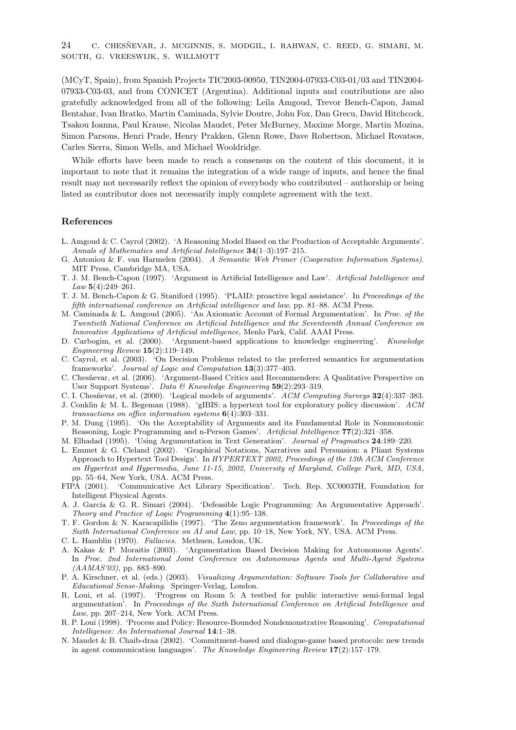(MCyT, Spain), from Spanish Projects TIC2003-00950, TIN2004-07933-C03-01/03 and TIN2004- 07933-C03-03, and from CONICET (Argentina). Additional inputs and contributions are also gratefully acknowledged from all of the following: Leila Amgoud, Trevor Bench-Capon, Jamal Bentahar, Ivan Bratko, Martin Caminada, Sylvie Doutre, John Fox, Dan Grecu, David Hitchcock, Tsakou Ioanna, Paul Krause, Nicolas Maudet, Peter McBurney, Maxime Morge, Martin Mozina, Simon Parsons, Henri Prade, Henry Prakken, Glenn Rowe, Dave Robertson, Michael Rovatsos, Carles Sierra, Simon Wells, and Michael Wooldridge.

While efforts have been made to reach a consensus on the content of this document, it is important to note that it remains the integration of a wide range of inputs, and hence the final result may not necessarily reflect the opinion of everybody who contributed – authorship or being listed as contributor does not necessarily imply complete agreement with the text.

## References

- L. Amgoud & C. Cayrol (2002). 'A Reasoning Model Based on the Production of Acceptable Arguments'. Annals of Mathematics and Artificial Intelligence 34(1–3):197–215.
- G. Antoniou & F. van Harmelen (2004). A Semantic Web Primer (Cooperative Information Systems). MIT Press, Cambridge MA, USA.
- T. J. M. Bench-Capon (1997). 'Argument in Artificial Intelligence and Law'. Artificial Intelligence and Law  $5(4):249-261$ .
- T. J. M. Bench-Capon & G. Staniford (1995). 'PLAID: proactive legal assistance'. In Proceedings of the fifth international conference on Artificial intelligence and law, pp. 81–88. ACM Press.
- M. Caminada & L. Amgoud (2005). 'An Axiomatic Account of Formal Argumentation'. In Proc. of the Twentieth National Conference on Artificial Intelligence and the Seventeenth Annual Conference on Innovative Applications of Artificial intelligence, Menlo Park, Calif. AAAI Press.
- D. Carbogim, et al. (2000). 'Argument-based applications to knowledge engineering'. Knowledge Engineering Review  $15(2):119-149$ .
- C. Cayrol, et al. (2003). 'On Decision Problems related to the preferred semantics for argumentation frameworks'. Journal of Logic and Computation 13(3):377–403.
- C. Chesñevar, et al. (2006). 'Argument-Based Critics and Recommenders: A Qualitative Perspective on User Support Systems'. Data & Knowledge Engineering 59(2):293–319.
- C. I. Chesnevar, et al. (2000). 'Logical models of arguments'. ACM Computing Surveys 32(4):337–383.
- J. Conklin & M. L. Begeman (1988). 'gIBIS: a hypertext tool for exploratory policy discussion'. ACM transactions on office information systems 6(4):303–331.
- P. M. Dung (1995). 'On the Acceptability of Arguments and its Fundamental Role in Nonmonotonic Reasoning, Logic Programming and n-Person Games'. Artificial Intelligence 77(2):321–358.
- M. Elhadad (1995). 'Using Argumentation in Text Generation'. Journal of Pragmatics 24:189–220.
- L. Emmet & G. Cleland (2002). 'Graphical Notations, Narratives and Persuasion: a Pliant Systems Approach to Hypertext Tool Design'. In HYPERTEXT 2002, Proceedings of the 13th ACM Conference on Hypertext and Hypermedia, June 11-15, 2002, University of Maryland, College Park, MD, USA, pp. 55–64, New York, USA. ACM Press.<br>FIPA (2001). 'Communicative Act Libra
- FIPA (2001). 'Communicative Act Library Specification'. Tech. Rep. XC00037H, Foundation for Intelligent Physical Agents.
- A. J. García & G. R. Simari (2004). 'Defeasible Logic Programming: An Argumentative Approach'. Theory and Practice of Logic Programming 4(1):95–138.
- T. F. Gordon & N. Karacapilidis (1997). 'The Zeno argumentation framework'. In Proceedings of the Sixth International Conference on AI and Law, pp. 10–18, New York, NY, USA. ACM Press.
- C. L. Hamblin (1970). Fallacies. Methuen, London, UK.
- A. Kakas & P. Moraitis (2003). 'Argumentation Based Decision Making for Autonomous Agents'. In Proc. 2nd International Joint Conference on Autonomous Agents and Multi-Agent Systems  $(AAMAS'03)$ , pp. 883–890.
- P. A. Kirschner, et al. (eds.) (2003). Visualizing Argumentation: Software Tools for Collaborative and Educational Sense-Making. Springer-Verlag, London.
- R. Loui, et al. (1997). 'Progress on Room 5: A testbed for public interactive semi-formal legal argumentation'. In Proceedings of the Sixth International Conference on Artificial Intelligence and Law, pp. 207–214, New York. ACM Press.
- R. P. Loui (1998). 'Process and Policy: Resource-Bounded Nondemonstrative Reasoning'. Computational Intelligence: An International Journal 14:1–38.
- N. Maudet & B. Chaib-draa (2002). 'Commitment-based and dialogue-game based protocols: new trends in agent communication languages'. The Knowledge Engineering Review  $17(2):157-179$ .